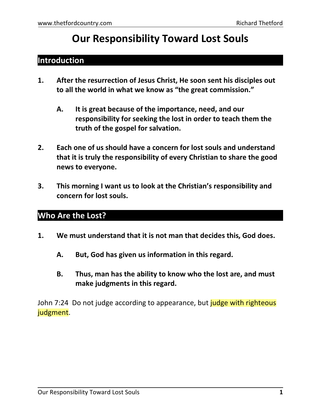# **Our Responsibility Toward Lost Souls**

### **Introduction**

- **1. After the resurrection of Jesus Christ, He soon sent his disciples out to all the world in what we know as "the great commission."**
	- **A. It is great because of the importance, need, and our responsibility for seeking the lost in order to teach them the truth of the gospel for salvation.**
- **2. Each one of us should have a concern for lost souls and understand that it is truly the responsibility of every Christian to share the good news to everyone.**
- **3. This morning I want us to look at the Christian's responsibility and concern for lost souls.**

## **Who Are the Lost?**

- **1. We must understand that it is not man that decides this, God does.**
	- **A. But, God has given us information in this regard.**
	- **B. Thus, man has the ability to know who the lost are, and must make judgments in this regard.**

John 7:24 Do not judge according to appearance, but *judge with righteous* judgment.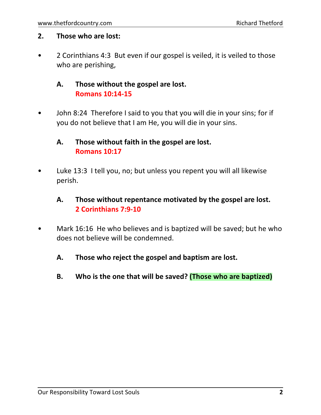#### **2. Those who are lost:**

• 2 Corinthians 4:3 But even if our gospel is veiled, it is veiled to those who are perishing,

#### **A. Those without the gospel are lost. Romans 10:14-15**

• John 8:24 Therefore I said to you that you will die in your sins; for if you do not believe that I am He, you will die in your sins.

#### **A. Those without faith in the gospel are lost. Romans 10:17**

• Luke 13:3 I tell you, no; but unless you repent you will all likewise perish.

#### **A. Those without repentance motivated by the gospel are lost. 2 Corinthians 7:9-10**

- Mark 16:16 He who believes and is baptized will be saved; but he who does not believe will be condemned.
	- **A. Those who reject the gospel and baptism are lost.**
	- **B. Who is the one that will be saved? (Those who are baptized)**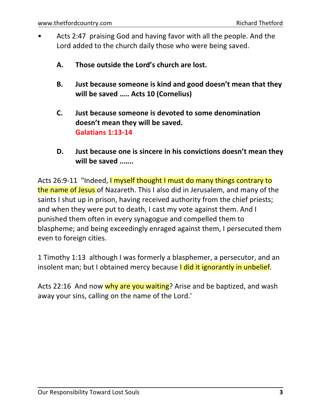- Acts 2:47 praising God and having favor with all the people. And the Lord added to the church daily those who were being saved.
	- **A. Those outside the Lord's church are lost.**
	- **B. Just because someone is kind and good doesn't mean that they will be saved ….. Acts 10 (Cornelius)**
	- **C. Just because someone is devoted to some denomination doesn't mean they will be saved. Galatians 1:13-14**
	- **D. Just because one is sincere in his convictions doesn't mean they will be saved ..…..**

Acts 26:9-11 "Indeed, I myself thought I must do many things contrary to the name of Jesus of Nazareth. This I also did in Jerusalem, and many of the saints I shut up in prison, having received authority from the chief priests; and when they were put to death, I cast my vote against them. And I punished them often in every synagogue and compelled them to blaspheme; and being exceedingly enraged against them, I persecuted them even to foreign cities.

1 Timothy 1:13 although I was formerly a blasphemer, a persecutor, and an insolent man; but I obtained mercy because I did it ignorantly in unbelief.

Acts 22:16 And now why are you waiting? Arise and be baptized, and wash away your sins, calling on the name of the Lord.'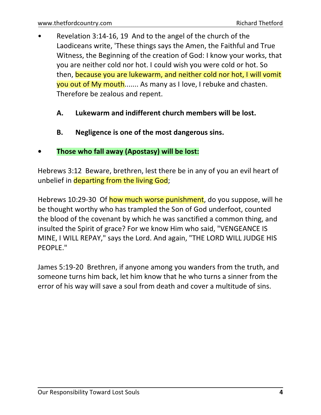- Revelation 3:14-16, 19 And to the angel of the church of the Laodiceans write, 'These things says the Amen, the Faithful and True Witness, the Beginning of the creation of God: I know your works, that you are neither cold nor hot. I could wish you were cold or hot. So then, because you are lukewarm, and neither cold nor hot, I will vomit you out of My mouth....... As many as I love, I rebuke and chasten. Therefore be zealous and repent.
	- **A. Lukewarm and indifferent church members will be lost.**
	- **B. Negligence is one of the most dangerous sins.**

#### **• Those who fall away (Apostasy) will be lost:**

Hebrews 3:12 Beware, brethren, lest there be in any of you an evil heart of unbelief in departing from the living God;

Hebrews 10:29-30 Of how much worse punishment, do you suppose, will he be thought worthy who has trampled the Son of God underfoot, counted the blood of the covenant by which he was sanctified a common thing, and insulted the Spirit of grace? For we know Him who said, "VENGEANCE IS MINE, I WILL REPAY," says the Lord. And again, "THE LORD WILL JUDGE HIS PEOPLE."

James 5:19-20 Brethren, if anyone among you wanders from the truth, and someone turns him back, let him know that he who turns a sinner from the error of his way will save a soul from death and cover a multitude of sins.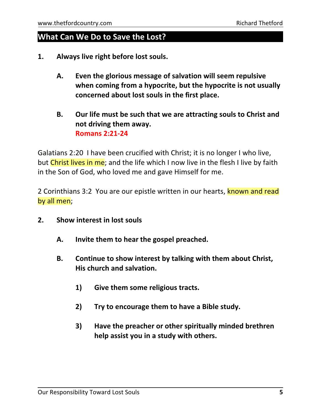#### **What Can We Do to Save the Lost?**

- **1. Always live right before lost souls.**
	- **A. Even the glorious message of salvation will seem repulsive when coming from a hypocrite, but the hypocrite is not usually concerned about lost souls in the first place.**
	- **B. Our life must be such that we are attracting souls to Christ and not driving them away. Romans 2:21-24**

Galatians 2:20 I have been crucified with Christ; it is no longer I who live, but Christ lives in me; and the life which I now live in the flesh I live by faith in the Son of God, who loved me and gave Himself for me.

2 Corinthians 3:2 You are our epistle written in our hearts, known and read by all men;

- **2. Show interest in lost souls**
	- **A. Invite them to hear the gospel preached.**
	- **B. Continue to show interest by talking with them about Christ, His church and salvation.**
		- **1) Give them some religious tracts.**
		- **2) Try to encourage them to have a Bible study.**
		- **3) Have the preacher or other spiritually minded brethren help assist you in a study with others.**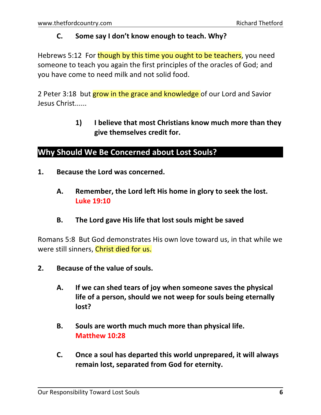#### **C. Some say I don't know enough to teach. Why?**

Hebrews 5:12 For though by this time you ought to be teachers, you need someone to teach you again the first principles of the oracles of God; and you have come to need milk and not solid food.

2 Peter 3:18 but grow in the grace and knowledge of our Lord and Savior Jesus Christ......

> **1) I believe that most Christians know much more than they give themselves credit for.**

#### **Why Should We Be Concerned about Lost Souls?**

- **1. Because the Lord was concerned.**
	- **A. Remember, the Lord left His home in glory to seek the lost. Luke 19:10**
	- **B. The Lord gave His life that lost souls might be saved**

Romans 5:8 But God demonstrates His own love toward us, in that while we were still sinners, Christ died for us.

- **2. Because of the value of souls.**
	- **A. If we can shed tears of joy when someone saves the physical life of a person, should we not weep for souls being eternally lost?**
	- **B. Souls are worth much much more than physical life. Matthew 10:28**
	- **C. Once a soul has departed this world unprepared, it will always remain lost, separated from God for eternity.**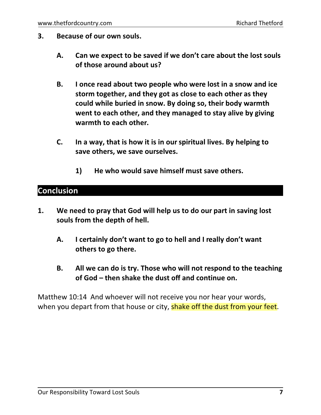- **3. Because of our own souls.**
	- **A. Can we expect to be saved if we don't care about the lost souls of those around about us?**
	- **B. I once read about two people who were lost in a snow and ice storm together, and they got as close to each other as they could while buried in snow. By doing so, their body warmth went to each other, and they managed to stay alive by giving warmth to each other.**
	- **C. In a way, that is how it is in ourspiritual lives. By helping to save others, we save ourselves.**
		- **1) He who would save himself must save others.**

### **Conclusion**

- **1. We need to pray that God will help us to do our part in saving lost souls from the depth of hell.**
	- **A. I certainly don't want to go to hell and I really don't want others to go there.**
	- **B. All we can do is try. Those who will not respond to the teaching of God – then shake the dust off and continue on.**

Matthew 10:14 And whoever will not receive you nor hear your words, when you depart from that house or city, shake off the dust from your feet.